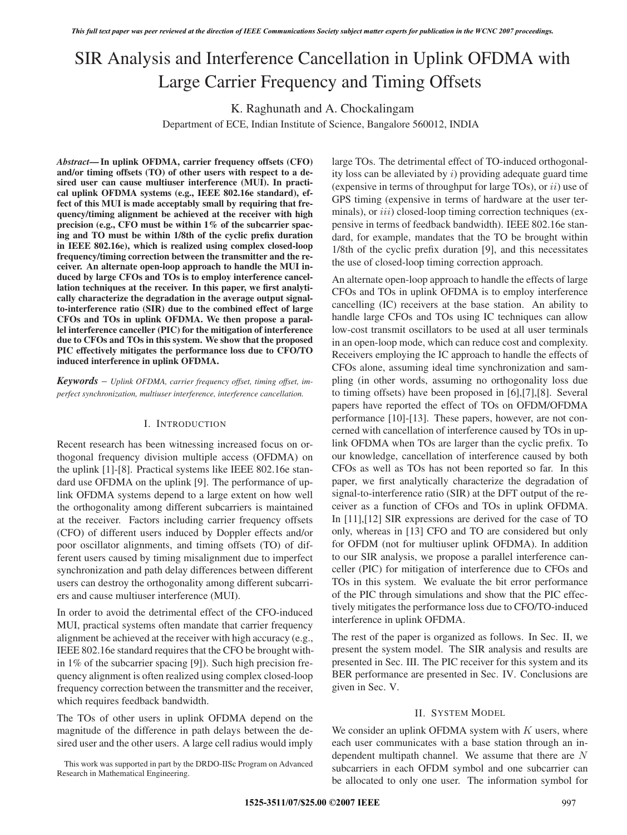# SIR Analysis and Interference Cancellation in Uplink OFDMA with Large Carrier Frequency and Timing Offsets

K. Raghunath and A. Chockalingam

Department of ECE, Indian Institute of Science, Bangalore 560012, INDIA

*Abstract***— In uplink OFDMA, carrier frequency offsets (CFO) and/or timing offsets (TO) of other users with respect to a desired user can cause multiuser interference (MUI). In practical uplink OFDMA systems (e.g., IEEE 802.16e standard), effect of this MUI is made acceptably small by requiring that frequency/timing alignment be achieved at the receiver with high precision (e.g., CFO must be within 1% of the subcarrier spacing and TO must be within 1/8th of the cyclic prefix duration in IEEE 802.16e), which is realized using complex closed-loop frequency/timing correction between the transmitter and the receiver. An alternate open-loop approach to handle the MUI induced by large CFOs and TOs is to employ interference cancellation techniques at the receiver. In this paper, we first analytically characterize the degradation in the average output signalto-interference ratio (SIR) due to the combined effect of large CFOs and TOs in uplink OFDMA. We then propose a parallel interference canceller (PIC) for the mitigation of interference due to CFOs and TOs in this system. We show that the proposed PIC effectively mitigates the performance loss due to CFO/TO induced interference in uplink OFDMA.**

*Keywords* – *Uplink OFDMA, carrier frequency offset, timing offset, imperfect synchronization, multiuser interference, interference cancellation.*

## I. INTRODUCTION

Recent research has been witnessing increased focus on orthogonal frequency division multiple access (OFDMA) on the uplink [1]-[8]. Practical systems like IEEE 802.16e standard use OFDMA on the uplink [9]. The performance of uplink OFDMA systems depend to a large extent on how well the orthogonality among different subcarriers is maintained at the receiver. Factors including carrier frequency offsets (CFO) of different users induced by Doppler effects and/or poor oscillator alignments, and timing offsets (TO) of different users caused by timing misalignment due to imperfect synchronization and path delay differences between different users can destroy the orthogonality among different subcarriers and cause multiuser interference (MUI).

In order to avoid the detrimental effect of the CFO-induced MUI, practical systems often mandate that carrier frequency alignment be achieved at the receiver with high accuracy (e.g., IEEE 802.16e standard requires that the CFO be brought within 1% of the subcarrier spacing [9]). Such high precision frequency alignment is often realized using complex closed-loop frequency correction between the transmitter and the receiver, which requires feedback bandwidth.

The TOs of other users in uplink OFDMA depend on the magnitude of the difference in path delays between the desired user and the other users. A large cell radius would imply

large TOs. The detrimental effect of TO-induced orthogonality loss can be alleviated by  $i$ ) providing adequate guard time (expensive in terms of throughput for large TOs), or  $ii$ ) use of GPS timing (expensive in terms of hardware at the user terminals), or  $iii$ ) closed-loop timing correction techniques (expensive in terms of feedback bandwidth). IEEE 802.16e standard, for example, mandates that the TO be brought within 1/8th of the cyclic prefix duration [9], and this necessitates the use of closed-loop timing correction approach.

An alternate open-loop approach to handle the effects of large CFOs and TOs in uplink OFDMA is to employ interference cancelling (IC) receivers at the base station. An ability to handle large CFOs and TOs using IC techniques can allow low-cost transmit oscillators to be used at all user terminals in an open-loop mode, which can reduce cost and complexity. Receivers employing the IC approach to handle the effects of CFOs alone, assuming ideal time synchronization and sampling (in other words, assuming no orthogonality loss due to timing offsets) have been proposed in [6],[7],[8]. Several papers have reported the effect of TOs on OFDM/OFDMA performance [10]-[13]. These papers, however, are not concerned with cancellation of interference caused by TOs in uplink OFDMA when TOs are larger than the cyclic prefix. To our knowledge, cancellation of interference caused by both CFOs as well as TOs has not been reported so far. In this paper, we first analytically characterize the degradation of signal-to-interference ratio (SIR) at the DFT output of the receiver as a function of CFOs and TOs in uplink OFDMA. In [11],[12] SIR expressions are derived for the case of TO only, whereas in [13] CFO and TO are considered but only for OFDM (not for multiuser uplink OFDMA). In addition to our SIR analysis, we propose a parallel interference canceller (PIC) for mitigation of interference due to CFOs and TOs in this system. We evaluate the bit error performance of the PIC through simulations and show that the PIC effectively mitigates the performance loss due to CFO/TO-induced interference in uplink OFDMA.

The rest of the paper is organized as follows. In Sec. II, we present the system model. The SIR analysis and results are presented in Sec. III. The PIC receiver for this system and its BER performance are presented in Sec. IV. Conclusions are given in Sec. V.

## II. SYSTEM MODEL

We consider an uplink OFDMA system with  $K$  users, where each user communicates with a base station through an independent multipath channel. We assume that there are N subcarriers in each OFDM symbol and one subcarrier can be allocated to only one user. The information symbol for

This work was supported in part by the DRDO-IISc Program on Advanced Research in Mathematical Engineering.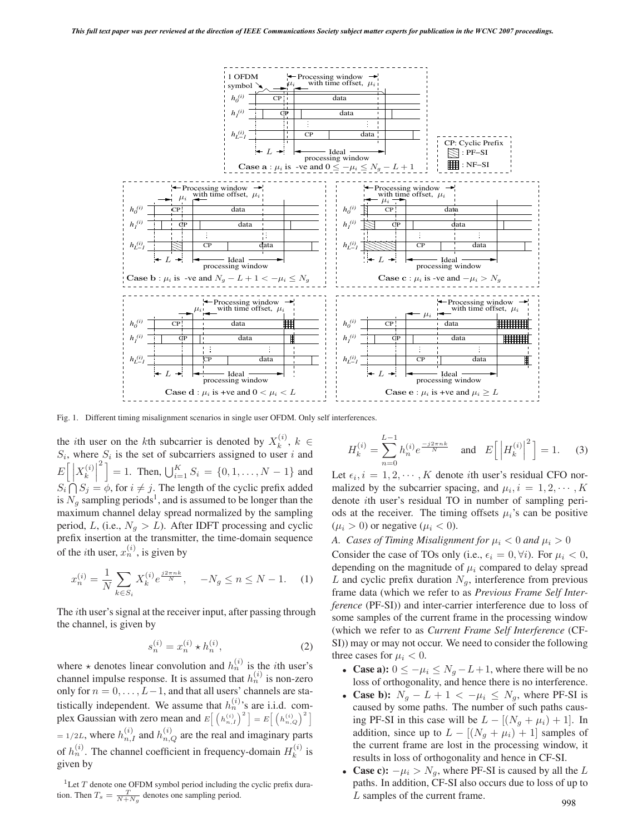

 $\overline{l}$ 

Fig. 1. Different timing misalignment scenarios in single user OFDM. Only self interferences.

the *i*th user on the *k*th subcarrier is denoted by  $X_k^{(i)}$ ,  $k \in$  $S_i$ , where  $S_i$  is the set of subcarriers assigned to user i and E  $\lceil \rceil$  $\overline{\phantom{a}}$  $S_i \bigcap_{i=1}^{n} S_i = \emptyset$ , for  $i \neq j$ . The length of the cyclic prefix added  $S_i$  $X_i^{(i)}$ k  $\overline{\phantom{a}}$  $\overline{\phantom{a}}$  $^{2}$  ]  $= 1$ . Then,  $\bigcup_{i=1}^{K} S_i = \{0, 1, \ldots, N-1\}$  and is  $N<sub>g</sub>$  sampling periods<sup>1</sup>, and is assumed to be longer than the maximum channel delay spread normalized by the sampling period, L, (i.e.,  $N_g > L$ ). After IDFT processing and cyclic prefix insertion at the transmitter, the time-domain sequence of the *i*th user,  $x_n^{(i)}$ , is given by

$$
x_n^{(i)} = \frac{1}{N} \sum_{k \in S_i} X_k^{(i)} e^{\frac{j 2 \pi n k}{N}}, \quad -N_g \le n \le N - 1. \tag{1}
$$

The ith user's signal at the receiver input, after passing through the channel, is given by

$$
s_n^{(i)} = x_n^{(i)} \star h_n^{(i)},
$$
 (2)

where  $\star$  denotes linear convolution and  $h_n^{(i)}$  is the *i*th user's channel impulse response. It is assumed that  $h_n^{(i)}$  is non-zero only for  $n = 0, \ldots, L-1$ , and that all users' channels are statistically independent. We assume that  $h_n^{(i)}$ 's are i.i.d. complex Gaussian with zero mean and  $E\left[\left(h_{n,I}^{(i)}\right)^2\right] = E\left[\left(h_{n,Q}^{(i)}\right)^2\right]$  $= 1/2L$ , where  $h_{n,I}^{(i)}$  and  $h_{n,Q}^{(i)}$  are the real and imaginary parts of  $h_n^{(i)}$ . The channel coefficient in frequency-domain  $H_k^{(i)}$  is given by

<sup>1</sup>Let  $T$  denote one OFDM symbol period including the cyclic prefix duration. Then  $T_s = \frac{T}{N + N_g}$  denotes one sampling period.

$$
H_k^{(i)} = \sum_{n=0}^{L-1} h_n^{(i)} e^{\frac{-j2\pi nk}{N}} \quad \text{and} \quad E\left[ \left| H_k^{(i)} \right|^2 \right] = 1. \tag{3}
$$

Let  $\epsilon_i$ ,  $i = 1, 2, \dots, K$  denote *i*th user's residual CFO normalized by the subcarrier spacing, and  $\mu_i$ ,  $i = 1, 2, \dots, K$ denote ith user's residual TO in number of sampling periods at the receiver. The timing offsets  $\mu_i$ 's can be positive  $(\mu_i > 0)$  or negative  $(\mu_i < 0)$ .

*A. Cases of Timing Misalignment for*  $\mu_i < 0$  and  $\mu_i > 0$ Consider the case of TOs only (i.e.,  $\epsilon_i = 0, \forall i$ ). For  $\mu_i < 0$ , depending on the magnitude of  $\mu_i$  compared to delay spread L and cyclic prefix duration  $N<sub>q</sub>$ , interference from previous frame data (which we refer to as *Previous Frame Self Interference* (PF-SI)) and inter-carrier interference due to loss of some samples of the current frame in the processing window (which we refer to as *Current Frame Self Interference* (CF-SI)) may or may not occur. We need to consider the following three cases for  $\mu_i < 0$ .

- **Case a):**  $0 \le -\mu_i \le N_g L + 1$ , where there will be no loss of orthogonality, and hence there is no interference.
- **Case b):**  $N_g L + 1 < -\mu_i \leq N_g$ , where PF-SI is caused by some paths. The number of such paths causing PF-SI in this case will be  $L - [(N_g + \mu_i) + 1]$ . In addition, since up to  $L - [(N_g + \mu_i) + 1]$  samples of the current frame are lost in the processing window, it results in loss of orthogonality and hence in CF-SI.
- **Case c):**  $-\mu_i > N_g$ , where PF-SI is caused by all the L paths. In addition, CF-SI also occurs due to loss of up to L samples of the current frame.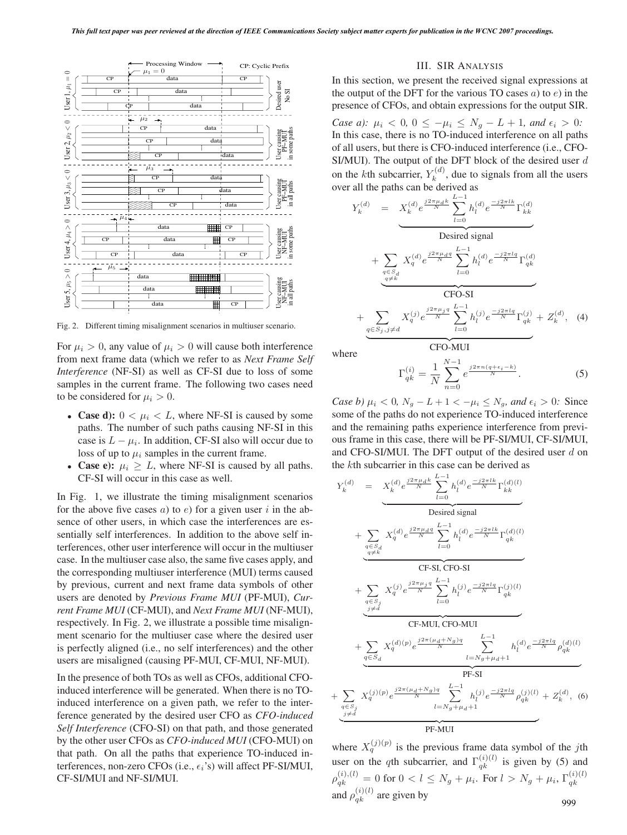

Fig. 2. Different timing misalignment scenarios in multiuser scenario.

For  $\mu_i > 0$ , any value of  $\mu_i > 0$  will cause both interference from next frame data (which we refer to as *Next Frame Self Interference* (NF-SI) as well as CF-SI due to loss of some samples in the current frame. The following two cases need to be considered for  $\mu_i > 0$ .

- **Case d):**  $0 < \mu_i < L$ , where NF-SI is caused by some paths. The number of such paths causing NF-SI in this case is  $L - \mu_i$ . In addition, CF-SI also will occur due to loss of up to  $\mu_i$  samples in the current frame.
- **Case e):**  $\mu_i \geq L$ , where NF-SI is caused by all paths. CF-SI will occur in this case as well.

In Fig. 1, we illustrate the timing misalignment scenarios for the above five cases a) to e) for a given user i in the absence of other users, in which case the interferences are essentially self interferences. In addition to the above self interferences, other user interference will occur in the multiuser case. In the multiuser case also, the same five cases apply, and the corresponding multiuser interference (MUI) terms caused by previous, current and next frame data symbols of other users are denoted by *Previous Frame MUI* (PF-MUI), *Current Frame MUI* (CF-MUI), and *Next Frame MUI* (NF-MUI), respectively. In Fig. 2, we illustrate a possible time misalignment scenario for the multiuser case where the desired user is perfectly aligned (i.e., no self interferences) and the other users are misaligned (causing PF-MUI, CF-MUI, NF-MUI).

In the presence of both TOs as well as CFOs, additional CFOinduced interference will be generated. When there is no TOinduced interference on a given path, we refer to the interference generated by the desired user CFO as *CFO-induced Self Interference* (CFO-SI) on that path, and those generated by the other user CFOs as *CFO-induced MUI* (CFO-MUI) on that path. On all the paths that experience TO-induced interferences, non-zero CFOs (i.e.,  $\epsilon_i$ 's) will affect PF-SI/MUI, CF-SI/MUI and NF-SI/MUI.

#### III. SIR ANALYSIS

In this section, we present the received signal expressions at the output of the DFT for the various TO cases  $a$ ) to  $e$ ) in the presence of CFOs, and obtain expressions for the output SIR.

*Case a):*  $\mu_i < 0, 0 \le -\mu_i \le N_g - L + 1,$  and  $\epsilon_i > 0$ : In this case, there is no TO-induced interference on all paths of all users, but there is CFO-induced interference (i.e., CFO-SI/MUI). The output of the DFT block of the desired user d on the *k*th subcarrier,  $Y_k^{(d)}$ , due to signals from all the users over all the paths can be derived as

$$
Y_k^{(d)} = X_k^{(d)} e^{\frac{j2\pi\mu_d k}{N}} \sum_{l=0}^{L-1} h_l^{(d)} e^{\frac{-j2\pi l k}{N}} \Gamma_{kk}^{(d)}
$$
  
\nDesired signal  
\n
$$
+ \sum_{\substack{q \in S_d \\ q \neq k}} X_q^{(d)} e^{\frac{j2\pi\mu_d q}{N}} \sum_{l=0}^{L-1} h_l^{(d)} e^{\frac{-j2\pi l q}{N}} \Gamma_{qk}^{(d)}
$$
  
\nCFO-SI  
\n
$$
+ \sum_{\substack{q \in S_j, j \neq d}} X_q^{(j)} e^{\frac{j2\pi\mu_j q}{N}} \sum_{l=0}^{L-1} h_l^{(j)} e^{\frac{-j2\pi l q}{N}} \Gamma_{qk}^{(j)} + Z_k^{(d)}, \quad (4)
$$

where

$$
\Gamma_{qk}^{(i)} = \frac{1}{N} \sum_{n=0}^{N-1} e^{\frac{j2\pi n (q + \epsilon_i - k)}{N}}.
$$
 (5)

*Case b)*  $\mu_i < 0$ ,  $N_g - L + 1 < -\mu_i \leq N_g$ , and  $\epsilon_i > 0$ : Since some of the paths do not experience TO-induced interference and the remaining paths experience interference from previous frame in this case, there will be PF-SI/MUI, CF-SI/MUI, and CFO-SI/MUI. The DFT output of the desired user  $d$  on the kth subcarrier in this case can be derived as

CFO-MUI

$$
Y_{k}^{(d)} = X_{k}^{(d)} e^{\frac{j2\pi\mu_{d}k}{N}} \sum_{l=0}^{L-1} h_{l}^{(d)} e^{\frac{-j2\pi l k}{N}} \Gamma_{kk}^{(d)(l)}
$$
  
\n
$$
+ \sum_{\substack{q \in S_{d} \\ q \neq k}} X_{q}^{(d)} e^{\frac{j2\pi\mu_{d}q}{N}} \sum_{l=0}^{L-1} h_{l}^{(d)} e^{\frac{-j2\pi l k}{N}} \Gamma_{qk}^{(d)(l)}
$$
  
\n
$$
+ \sum_{\substack{q \in S_{d} \\ q \neq k}} X_{q}^{(j)} e^{\frac{j2\pi\mu_{j}q}{N}} \sum_{l=0}^{L-1} h_{l}^{(j)} e^{\frac{-j2\pi l q}{N}} \Gamma_{qk}^{(j)(l)}
$$
  
\n
$$
+ \sum_{\substack{q \in S_{j} \\ j \neq d}} X_{q}^{(j)} e^{\frac{j2\pi\mu_{j}q}{N}} \sum_{l=0}^{L-1} h_{l}^{(j)} e^{\frac{-j2\pi l q}{N}} \Gamma_{qk}^{(j)(l)}
$$
  
\n
$$
+ \sum_{\substack{q \in S_{d} \\ q \in S_{d}}} X_{q}^{(d)(p)} e^{\frac{j2\pi(\mu_{d} + N_{g})q}{N}} \sum_{l=N_{g} + \mu_{d} + 1}^{L-1} h_{l}^{(d)} e^{\frac{-j2\pi l q}{N}} \rho_{qk}^{(d)(l)}
$$
  
\nPF-SI  
\n
$$
+ \sum_{\substack{q \in S_{j} \\ j \neq d}} X_{q}^{(j)(p)} e^{\frac{j2\pi(\mu_{d} + N_{g})q}{N}} \sum_{l=N_{g} + \mu_{d} + 1}^{L-1} h_{l}^{(j)} e^{\frac{-j2\pi l q}{N}} \rho_{qk}^{(j)(l)} + Z_{k}^{(d)}, \quad (6)
$$

where  $X_q^{(j)(p)}$  is the previous frame data symbol of the jth user on the qth subcarrier, and  $\Gamma_{qk}^{(i)(l)}$  is given by (5) and  $\rho_{qk}^{(i),(l)} = 0 \text{ for } 0 < l \leq N_g + \mu_i. \text{ For } l > N_g + \mu_i, \, \Gamma_{qk}^{(i)(l)}$ and  $\rho_{qk}^{(i)(l)}$  are given by 999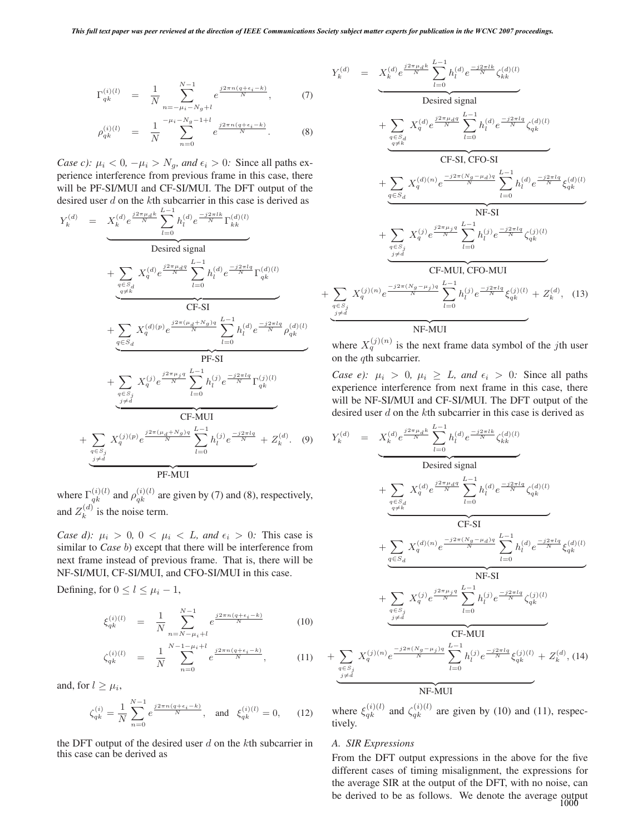$$
\Gamma_{qk}^{(i)(l)} = \frac{1}{N} \sum_{n=-\mu_i - N_g + l}^{N-1} e^{\frac{j2\pi n (q + \epsilon_i - k)}{N}}, \tag{7}
$$

$$
\rho_{qk}^{(i)(l)} = \frac{1}{N} \sum_{n=0}^{-\mu_i - N_g - 1 + l} e^{\frac{j 2\pi n (q + \epsilon_i - k)}{N}}.
$$
 (8)

*Case c):*  $\mu_i < 0$ ,  $-\mu_i > N_g$ , and  $\epsilon_i > 0$ : Since all paths experience interference from previous frame in this case, there will be PF-SI/MUI and CF-SI/MUI. The DFT output of the desired user d on the kth subcarrier in this case is derived as

$$
Y_k^{(d)} = \frac{X_k^{(d)} e^{\frac{j2\pi\mu_d k}{N}} \sum_{l=0}^{L-1} h_l^{(d)} e^{\frac{-j2\pi l k}{N}} \Gamma_{kk}^{(d)(l)}}{\text{Desired signal}}
$$
  
+ 
$$
\sum_{\substack{q \in S_d \\ q \neq k}} X_q^{(d)} e^{\frac{j2\pi\mu_d q}{N}} \sum_{l=0}^{L-1} h_l^{(d)} e^{\frac{-j2\pi l q}{N}} \Gamma_{qk}^{(d)(l)}
$$
  
+ 
$$
\sum_{\substack{q \in S_d \\ q \in S_d}} X_q^{(d)(p)} e^{\frac{j2\pi(\mu_d + N_g)q}{N}} \sum_{l=0}^{L-1} h_l^{(d)} e^{\frac{-j2\pi l q}{N}} \rho_{qk}^{(d)(l)}
$$
  
+ 
$$
\sum_{\substack{q \in S_d \\ q \neq i}} X_q^{(j)} e^{\frac{j2\pi\mu_j q}{N}} \sum_{l=0}^{L-1} h_l^{(j)} e^{\frac{-j2\pi l q}{N}} \Gamma_{qk}^{(j)(l)}
$$
  
+ 
$$
\sum_{\substack{q \in S_j \\ q \neq i}} X_q^{(j)(p)} e^{\frac{j2\pi(\mu_d + N_g)q}{N}} \sum_{l=0}^{L-1} h_l^{(j)} e^{\frac{-j2\pi l q}{N}} + Z_k^{(d)}.
$$
 (9)

where  $\Gamma_{qk}^{(i)(l)}$  and  $\rho_{qk}^{(i)(l)}$  are given by (7) and (8), respectively, and  $Z_k^{(d)}$  is the noise term.

*Case d):*  $\mu_i > 0$ ,  $0 < \mu_i < L$ , and  $\epsilon_i > 0$ : This case is similar to *Case* b) except that there will be interference from next frame instead of previous frame. That is, there will be NF-SI/MUI, CF-SI/MUI, and CFO-SI/MUI in this case.

Defining, for  $0 \le l \le \mu_i - 1$ ,

$$
\xi_{qk}^{(i)(l)} = \frac{1}{N} \sum_{n=N-\mu_i+l}^{N-1} e^{\frac{j2\pi n (q+\epsilon_i-k)}{N}} \tag{10}
$$

$$
\zeta_{qk}^{(i)(l)} = \frac{1}{N} \sum_{n=0}^{N-1-\mu_i+l} e^{\frac{j2\pi n (q+\epsilon_i-k)}{N}}, \quad (11)
$$

and, for  $l \geq \mu_i$ ,

$$
\zeta_{qk}^{(i)} = \frac{1}{N} \sum_{n=0}^{N-1} e^{\frac{j2\pi n (q + \epsilon_i - k)}{N}}, \text{ and } \xi_{qk}^{(i)(l)} = 0,
$$
 (12)

the DFT output of the desired user  $d$  on the kth subcarrier in this case can be derived as

$$
Y_{k}^{(d)} = \underbrace{X_{k}^{(d)} e^{\frac{j2\pi\mu_{d}k}{N}} \sum_{l=0}^{L-1} h_{l}^{(d)} e^{\frac{-j2\pi lk}{N}} \zeta_{kk}^{(d)(l)}}_{\text{Desired signal}} + \underbrace{\sum_{q \in S_{d}} X_{q}^{(d)} e^{\frac{j2\pi\mu_{d}q}{N}} \sum_{l=0}^{L-1} h_{l}^{(d)} e^{\frac{-j2\pi lq}{N}} \zeta_{qk}^{(d)(l)}}_{q \neq k} + \underbrace{\sum_{q \in S_{d}} X_{q}^{(d)(n)} e^{\frac{-j2\pi (Nq - \mu_{d})q}{N}} \sum_{l=0}^{L-1} h_{l}^{(d)} e^{\frac{-j2\pi lq}{N}} \zeta_{qk}^{(d)(l)}}_{l \neq 0} + \underbrace{\sum_{q \in S_{d}} X_{q}^{(d)(n)} e^{\frac{-j2\pi\mu_{d}q}{N}} \sum_{l=0}^{L-1} h_{l}^{(j)} e^{\frac{-j2\pi lq}{N}} \zeta_{qk}^{(d)(l)}}_{j \neq d} + \underbrace{\sum_{q \in S_{j} \atop j \neq d} X_{q}^{(j)} e^{\frac{j2\pi\mu_{j}q}{N}} \sum_{l=0}^{L-1} h_{l}^{(j)} e^{\frac{-j2\pi lq}{N}} \zeta_{qk}^{(j)(l)}}_{l \neq 0} + \underbrace{\sum_{q \in S_{j} \atop j \neq d} X_{q}^{(j)(n)} e^{\frac{-j2\pi (Nq - \mu_{j})q}{N}} \sum_{l=0}^{L-1} h_{l}^{(j)} e^{\frac{-j2\pi lq}{N}} \xi_{qk}^{(j)(l)} + Z_{k}^{(d)},
$$
(13)

where  $X_q^{(j)(n)}$  is the next frame data symbol of the jth user on the *q*th subcarrier.

*Case e):*  $\mu_i > 0$ ,  $\mu_i \geq L$ , and  $\epsilon_i > 0$ : Since all paths experience interference from next frame in this case, there will be NF-SI/MUI and CF-SI/MUI. The DFT output of the desired user d on the kth subcarrier in this case is derived as

$$
Y_{k}^{(d)} = X_{k}^{(d)} e^{\frac{j2\pi\mu_{d}k}{N}} \sum_{l=0}^{L-1} h_{l}^{(d)} e^{\frac{-j2\pi l k}{N}} \zeta_{k}^{(d)l}
$$
  
\nDesired signal  
\n
$$
+ \sum_{\substack{q \in S_{d} \\ q \neq k}} X_{q}^{(d)} e^{\frac{j2\pi\mu_{d}q}{N}} \sum_{l=0}^{L-1} h_{l}^{(d)} e^{\frac{-j2\pi l q}{N}} \zeta_{qk}^{(d)l}
$$
  
\nCF-SI  
\n
$$
+ \sum_{\substack{q \in S_{d} \\ q \in S_{d}}} X_{q}^{(d) (n)} e^{\frac{-j2\pi (N_{g} - \mu_{d})q}{N}} \sum_{l=0}^{L-1} h_{l}^{(d)} e^{\frac{-j2\pi l q}{N}} \xi_{qk}^{(d)l}
$$
  
\nNF-SI  
\n
$$
+ \sum_{\substack{q \in S_{j} \\ q \neq d}} X_{q}^{(j)} e^{\frac{j2\pi\mu_{j}q}{N}} \sum_{l=0}^{L-1} h_{l}^{(j)} e^{\frac{-j2\pi l q}{N}} \zeta_{qk}^{(j)l}
$$
  
\nCF-MUI  
\n
$$
+ \sum_{\substack{q \in S_{j} \\ q \neq d}} X_{q}^{(j) (n)} e^{\frac{-j2\pi (N_{g} - \mu_{j})q}{N}} \sum_{l=0}^{L-1} h_{l}^{(j)} e^{\frac{-j2\pi l q}{N}} \xi_{qk}^{(j)l} + Z_{k}^{(d)},
$$
 (14)

where  $\xi_{qk}^{(i)(l)}$  and  $\zeta_{qk}^{(i)(l)}$  are given by (10) and (11), respectively.

### *A. SIR Expressions*

From the DFT output expressions in the above for the five different cases of timing misalignment, the expressions for the average SIR at the output of the DFT, with no noise, can be derived to be as follows. We denote the average output 1000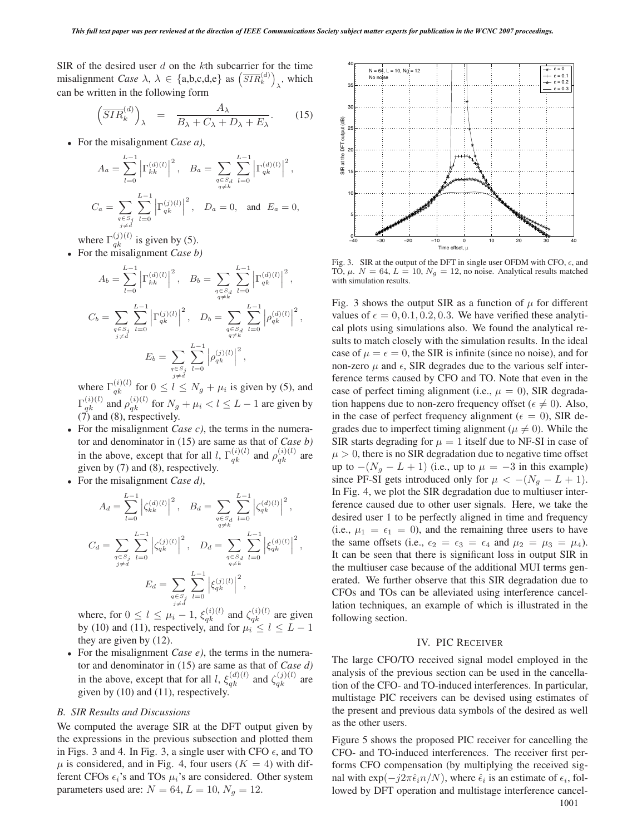SIR of the desired user  $d$  on the kth subcarrier for the time misalignment *Case*  $\lambda, \lambda \in \{a,b,c,d,e\}$  as  $\left(\overline{SIR}_k^{(d)}\right)$  $\lambda$ , which can be written in the following form

$$
\left(\overline{SIR}_{k}^{(d)}\right)_{\lambda} = \frac{A_{\lambda}}{B_{\lambda} + C_{\lambda} + D_{\lambda} + E_{\lambda}}.
$$
 (15)

• For the misalignment *Case a)*,

$$
A_{a} = \sum_{l=0}^{L-1} \left| \Gamma_{kk}^{(d)(l)} \right|^{2}, \quad B_{a} = \sum_{\substack{q \in S_{d} \\ q \neq k}} \sum_{l=0}^{L-1} \left| \Gamma_{qk}^{(d)(l)} \right|^{2},
$$
  

$$
C_{a} = \sum_{\substack{q \in S_{j} \\ q \neq d}} \sum_{l=0}^{L-1} \left| \Gamma_{qk}^{(j)(l)} \right|^{2}, \quad D_{a} = 0, \text{ and } E_{a} = 0,
$$

where  $\Gamma_{qk}^{(j)(l)}$  is given by (5).

• For the misalignment *Case b)*

$$
A_{b} = \sum_{l=0}^{L-1} \left| \Gamma_{kk}^{(d)(l)} \right|^{2}, \quad B_{b} = \sum_{\substack{q \in S_{d} \\ q \neq k}} \sum_{l=0}^{L-1} \left| \Gamma_{qk}^{(d)(l)} \right|^{2},
$$
  

$$
C_{b} = \sum_{\substack{q \in S_{j} \\ j \neq d}} \sum_{l=0}^{L-1} \left| \Gamma_{qk}^{(j)(l)} \right|^{2}, \quad D_{b} = \sum_{\substack{q \in S_{d} \\ q \neq k}} \sum_{l=0}^{L-1} \left| \rho_{qk}^{(d)(l)} \right|^{2},
$$
  

$$
E_{b} = \sum_{\substack{q \in S_{j} \\ q \neq l}} \sum_{l=0}^{L-1} \left| \rho_{qk}^{(j)(l)} \right|^{2},
$$

where  $\Gamma_{qk}^{(i)(l)}$  for  $0 \le l \le N_g + \mu_i$  is given by (5), and  $\Gamma_{qk}^{(i)(l)}$  and  $\rho_{qk}^{(i)(l)}$  for  $N_g + \mu_i < l \leq L - 1$  are given by (7) and (8), respectively.

- For the misalignment *Case c)*, the terms in the numerator and denominator in (15) are same as that of *Case b)* in the above, except that for all l,  $\Gamma_{qk}^{(i)(l)}$  and  $\rho_{qk}^{(i)(l)}$  are given by (7) and (8), respectively.
- For the misalignment *Case d)*,

$$
A_{d} = \sum_{l=0}^{L-1} \left| \zeta_{kk}^{(d)(l)} \right|^{2}, \quad B_{d} = \sum_{\substack{q \in S_{d} \\ q \neq k}} \sum_{l=0}^{L-1} \left| \zeta_{qk}^{(d)(l)} \right|^{2},
$$
  

$$
C_{d} = \sum_{\substack{q \in S_{j} \\ q \neq k}} \sum_{l=0}^{L-1} \left| \zeta_{qk}^{(j)(l)} \right|^{2}, \quad D_{d} = \sum_{\substack{q \in S_{d} \\ q \neq k}} \sum_{l=0}^{L-1} \left| \xi_{qk}^{(d)(l)} \right|^{2},
$$
  

$$
E_{d} = \sum_{\substack{q \in S_{j} \\ q \neq d}} \sum_{l=0}^{L-1} \left| \xi_{qk}^{(j)(l)} \right|^{2},
$$

where, for  $0 \le l \le \mu_i - 1$ ,  $\xi_{qk}^{(i)(l)}$  and  $\zeta_{qk}^{(i)(l)}$  are given by (10) and (11), respectively, and for  $\mu_i \le l \le L - 1$ they are given by (12).

• For the misalignment *Case e)*, the terms in the numerator and denominator in (15) are same as that of *Case d)* in the above, except that for all l,  $\xi_{qk}^{(d)(l)}$  and  $\zeta_{qk}^{(j)(l)}$  are given by (10) and (11), respectively.

#### *B. SIR Results and Discussions*

We computed the average SIR at the DFT output given by the expressions in the previous subsection and plotted them in Figs. 3 and 4. In Fig. 3, a single user with CFO  $\epsilon$ , and TO  $\mu$  is considered, and in Fig. 4, four users ( $K = 4$ ) with different CFOs  $\epsilon_i$ 's and TOs  $\mu_i$ 's are considered. Other system parameters used are:  $N = 64$ ,  $L = 10$ ,  $N_g = 12$ .



Fig. 3. SIR at the output of the DFT in single user OFDM with CFO,  $\epsilon$ , and TO  $\mu$ ,  $N = 64$ ,  $L = 10$ ,  $N_{\rm -} = 12$ , no noise. Analytical results matched TO,  $\mu$ .  $N = 64$ ,  $L = 10$ ,  $N_g = 12$ , no noise. Analytical results matched with simulation results.

Fig. 3 shows the output SIR as a function of  $\mu$  for different values of  $\epsilon = 0, 0.1, 0.2, 0.3$ . We have verified these analytical plots using simulations also. We found the analytical results to match closely with the simulation results. In the ideal case of  $\mu = \epsilon = 0$ , the SIR is infinite (since no noise), and for non-zero  $\mu$  and  $\epsilon$ , SIR degrades due to the various self interference terms caused by CFO and TO. Note that even in the case of perfect timing alignment (i.e.,  $\mu = 0$ ), SIR degradation happens due to non-zero frequency offset ( $\epsilon \neq 0$ ). Also, in the case of perfect frequency alignment ( $\epsilon = 0$ ), SIR degrades due to imperfect timing alignment ( $\mu \neq 0$ ). While the SIR starts degrading for  $\mu = 1$  itself due to NF-SI in case of  $\mu > 0$ , there is no SIR degradation due to negative time offset up to  $-(N_g - L + 1)$  (i.e., up to  $\mu = -3$  in this example) since PF-SI gets introduced only for  $\mu < -(N_q - L + 1)$ . In Fig. 4, we plot the SIR degradation due to multiuser interference caused due to other user signals. Here, we take the desired user 1 to be perfectly aligned in time and frequency (i.e.,  $\mu_1 = \epsilon_1 = 0$ ), and the remaining three users to have the same offsets (i.e.,  $\epsilon_2 = \epsilon_3 = \epsilon_4$  and  $\mu_2 = \mu_3 = \mu_4$ ). It can be seen that there is significant loss in output SIR in the multiuser case because of the additional MUI terms generated. We further observe that this SIR degradation due to CFOs and TOs can be alleviated using interference cancellation techniques, an example of which is illustrated in the following section.

# IV. PIC RECEIVER

The large CFO/TO received signal model employed in the analysis of the previous section can be used in the cancellation of the CFO- and TO-induced interferences. In particular, multistage PIC receivers can be devised using estimates of the present and previous data symbols of the desired as well as the other users.

Figure 5 shows the proposed PIC receiver for cancelling the CFO- and TO-induced interferences. The receiver first performs CFO compensation (by multiplying the received signal with  $\exp(-j2\pi \hat{\epsilon}_i n/N)$ , where  $\hat{\epsilon}_i$  is an estimate of  $\epsilon_i$ , followed by DFT operation and multistage interference cancel-